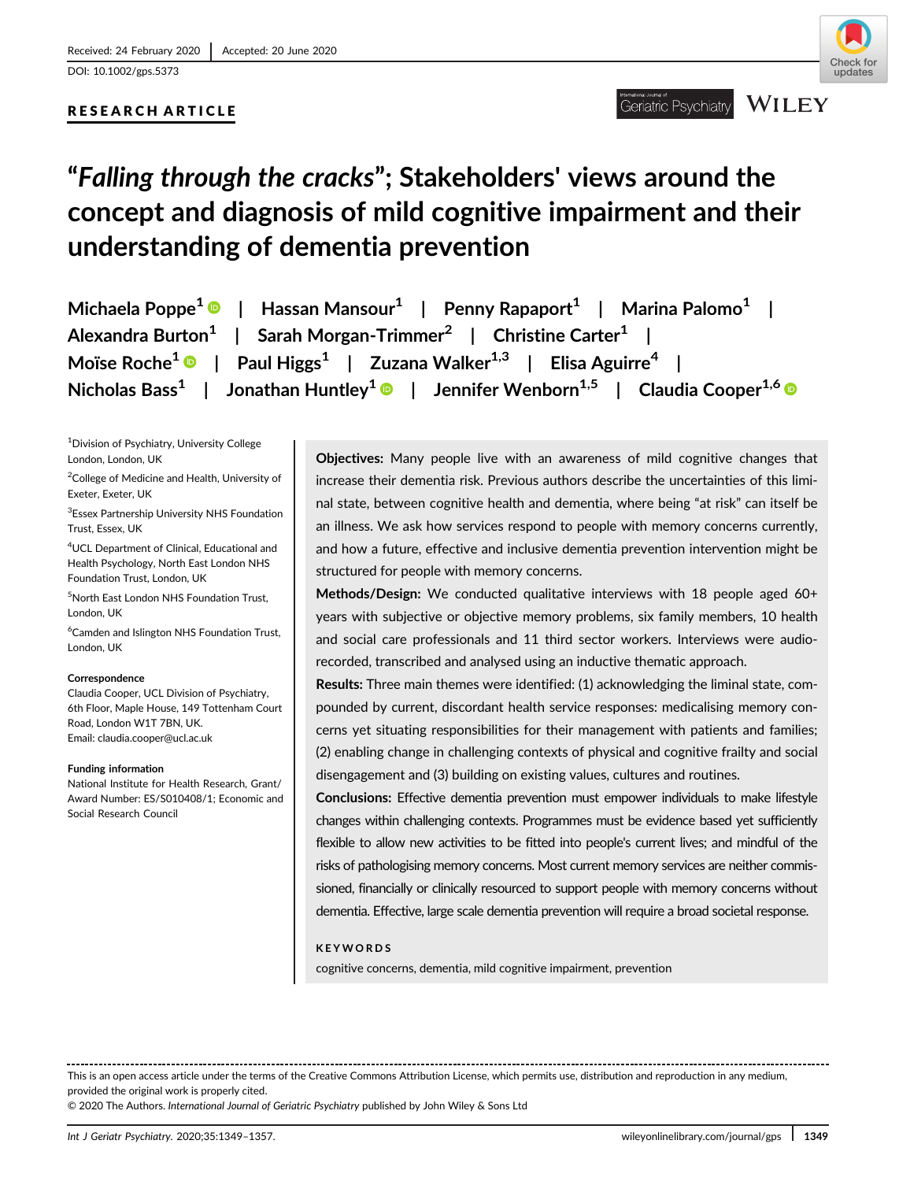DOI: 10.1002/gps.5373

# RESEARCH ARTICLE



# "Falling through the cracks"; Stakeholders' views around the concept and diagnosis of mild cognitive impairment and their understanding of dementia prevention

| Michaela Poppe <sup>1</sup> $\bullet$   Hassan Mansour <sup>1</sup>   Penny Rapaport <sup>1</sup>   Marina Palomo <sup>1</sup> |
|--------------------------------------------------------------------------------------------------------------------------------|
| Alexandra Burton <sup>1</sup>   Sarah Morgan-Trimmer <sup>2</sup>   Christine Carter <sup>1</sup>                              |
| Moïse Roche <sup>1</sup> $\bullet$   Paul Higgs <sup>1</sup>   Zuzana Walker <sup>1,3</sup>   Elisa Aguirre <sup>4</sup>       |
| Nicholas Bass <sup>1</sup>   Jonathan Huntley <sup>1</sup>   Jennifer Wenborn <sup>1,5</sup>   Claudia Cooper <sup>1,6</sup>   |

1 Division of Psychiatry, University College London, London, UK

 $^{2}$ College of Medicine and Health, University of Exeter, Exeter, UK

3 Essex Partnership University NHS Foundation Trust, Essex, UK

4 UCL Department of Clinical, Educational and Health Psychology, North East London NHS Foundation Trust, London, UK

5 North East London NHS Foundation Trust, London, UK

6 Camden and Islington NHS Foundation Trust, London, UK

### **Correspondence**

Claudia Cooper, UCL Division of Psychiatry, 6th Floor, Maple House, 149 Tottenham Court Road, London W1T 7BN, UK. Email: [claudia.cooper@ucl.ac.uk](mailto:claudia.cooper@ucl.ac.uk)

### Funding information

National Institute for Health Research, Grant/ Award Number: ES/S010408/1; Economic and Social Research Council

Objectives: Many people live with an awareness of mild cognitive changes that increase their dementia risk. Previous authors describe the uncertainties of this liminal state, between cognitive health and dementia, where being "at risk" can itself be an illness. We ask how services respond to people with memory concerns currently, and how a future, effective and inclusive dementia prevention intervention might be structured for people with memory concerns.

Methods/Design: We conducted qualitative interviews with 18 people aged 60+ years with subjective or objective memory problems, six family members, 10 health and social care professionals and 11 third sector workers. Interviews were audiorecorded, transcribed and analysed using an inductive thematic approach.

Results: Three main themes were identified: (1) acknowledging the liminal state, compounded by current, discordant health service responses: medicalising memory concerns yet situating responsibilities for their management with patients and families; (2) enabling change in challenging contexts of physical and cognitive frailty and social disengagement and (3) building on existing values, cultures and routines.

Conclusions: Effective dementia prevention must empower individuals to make lifestyle changes within challenging contexts. Programmes must be evidence based yet sufficiently flexible to allow new activities to be fitted into people's current lives; and mindful of the risks of pathologising memory concerns. Most current memory services are neither commissioned, financially or clinically resourced to support people with memory concerns without dementia. Effective, large scale dementia prevention will require a broad societal response.

# KEYWORDS

cognitive concerns, dementia, mild cognitive impairment, prevention

This is an open access article under the terms of the [Creative Commons Attribution](http://creativecommons.org/licenses/by/4.0/) License, which permits use, distribution and reproduction in any medium, provided the original work is properly cited.

© 2020 The Authors. International Journal of Geriatric Psychiatry published by John Wiley & Sons Ltd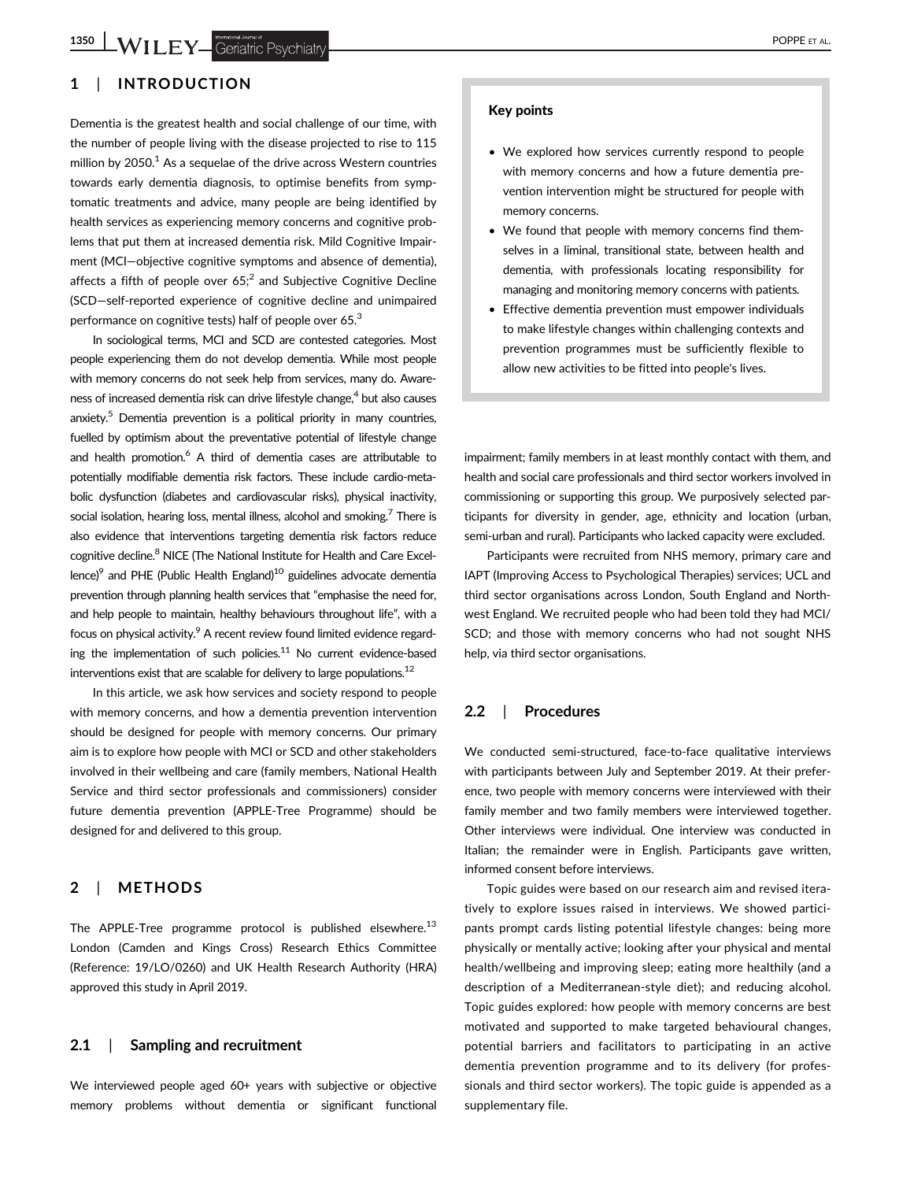# 1 | INTRODUCTION

Dementia is the greatest health and social challenge of our time, with the number of people living with the disease projected to rise to 115 million by  $2050<sup>1</sup>$  As a sequelae of the drive across Western countries towards early dementia diagnosis, to optimise benefits from symptomatic treatments and advice, many people are being identified by health services as experiencing memory concerns and cognitive problems that put them at increased dementia risk. Mild Cognitive Impairment (MCI—objective cognitive symptoms and absence of dementia), affects a fifth of people over  $65$ ;<sup>2</sup> and Subjective Cognitive Decline (SCD—self-reported experience of cognitive decline and unimpaired performance on cognitive tests) half of people over 65.<sup>3</sup>

In sociological terms, MCI and SCD are contested categories. Most people experiencing them do not develop dementia. While most people with memory concerns do not seek help from services, many do. Awareness of increased dementia risk can drive lifestyle change,<sup>4</sup> but also causes anxiety.<sup>5</sup> Dementia prevention is a political priority in many countries, fuelled by optimism about the preventative potential of lifestyle change and health promotion.<sup>6</sup> A third of dementia cases are attributable to potentially modifiable dementia risk factors. These include cardio-metabolic dysfunction (diabetes and cardiovascular risks), physical inactivity, social isolation, hearing loss, mental illness, alcohol and smoking.<sup>7</sup> There is also evidence that interventions targeting dementia risk factors reduce cognitive decline.8 NICE (The National Institute for Health and Care Excellence)<sup>9</sup> and PHE (Public Health England)<sup>10</sup> guidelines advocate dementia prevention through planning health services that "emphasise the need for, and help people to maintain, healthy behaviours throughout life", with a focus on physical activity.<sup>9</sup> A recent review found limited evidence regarding the implementation of such policies.<sup>11</sup> No current evidence-based interventions exist that are scalable for delivery to large populations.<sup>12</sup>

In this article, we ask how services and society respond to people with memory concerns, and how a dementia prevention intervention should be designed for people with memory concerns. Our primary aim is to explore how people with MCI or SCD and other stakeholders involved in their wellbeing and care (family members, National Health Service and third sector professionals and commissioners) consider future dementia prevention (APPLE-Tree Programme) should be designed for and delivered to this group.

# 2 | METHODS

The APPLE-Tree programme protocol is published elsewhere.<sup>13</sup> London (Camden and Kings Cross) Research Ethics Committee (Reference: 19/LO/0260) and UK Health Research Authority (HRA) approved this study in April 2019.

## 2.1 | Sampling and recruitment

We interviewed people aged 60+ years with subjective or objective memory problems without dementia or significant functional

#### Key points

- We explored how services currently respond to people with memory concerns and how a future dementia prevention intervention might be structured for people with memory concerns.
- We found that people with memory concerns find themselves in a liminal, transitional state, between health and dementia, with professionals locating responsibility for managing and monitoring memory concerns with patients.
- Effective dementia prevention must empower individuals to make lifestyle changes within challenging contexts and prevention programmes must be sufficiently flexible to allow new activities to be fitted into people's lives.

impairment; family members in at least monthly contact with them, and health and social care professionals and third sector workers involved in commissioning or supporting this group. We purposively selected participants for diversity in gender, age, ethnicity and location (urban, semi-urban and rural). Participants who lacked capacity were excluded.

Participants were recruited from NHS memory, primary care and IAPT (Improving Access to Psychological Therapies) services; UCL and third sector organisations across London, South England and Northwest England. We recruited people who had been told they had MCI/ SCD; and those with memory concerns who had not sought NHS help, via third sector organisations.

# 2.2 | Procedures

We conducted semi-structured, face-to-face qualitative interviews with participants between July and September 2019. At their preference, two people with memory concerns were interviewed with their family member and two family members were interviewed together. Other interviews were individual. One interview was conducted in Italian; the remainder were in English. Participants gave written, informed consent before interviews.

Topic guides were based on our research aim and revised iteratively to explore issues raised in interviews. We showed participants prompt cards listing potential lifestyle changes: being more physically or mentally active; looking after your physical and mental health/wellbeing and improving sleep; eating more healthily (and a description of a Mediterranean-style diet); and reducing alcohol. Topic guides explored: how people with memory concerns are best motivated and supported to make targeted behavioural changes, potential barriers and facilitators to participating in an active dementia prevention programme and to its delivery (for professionals and third sector workers). The topic guide is appended as a supplementary file.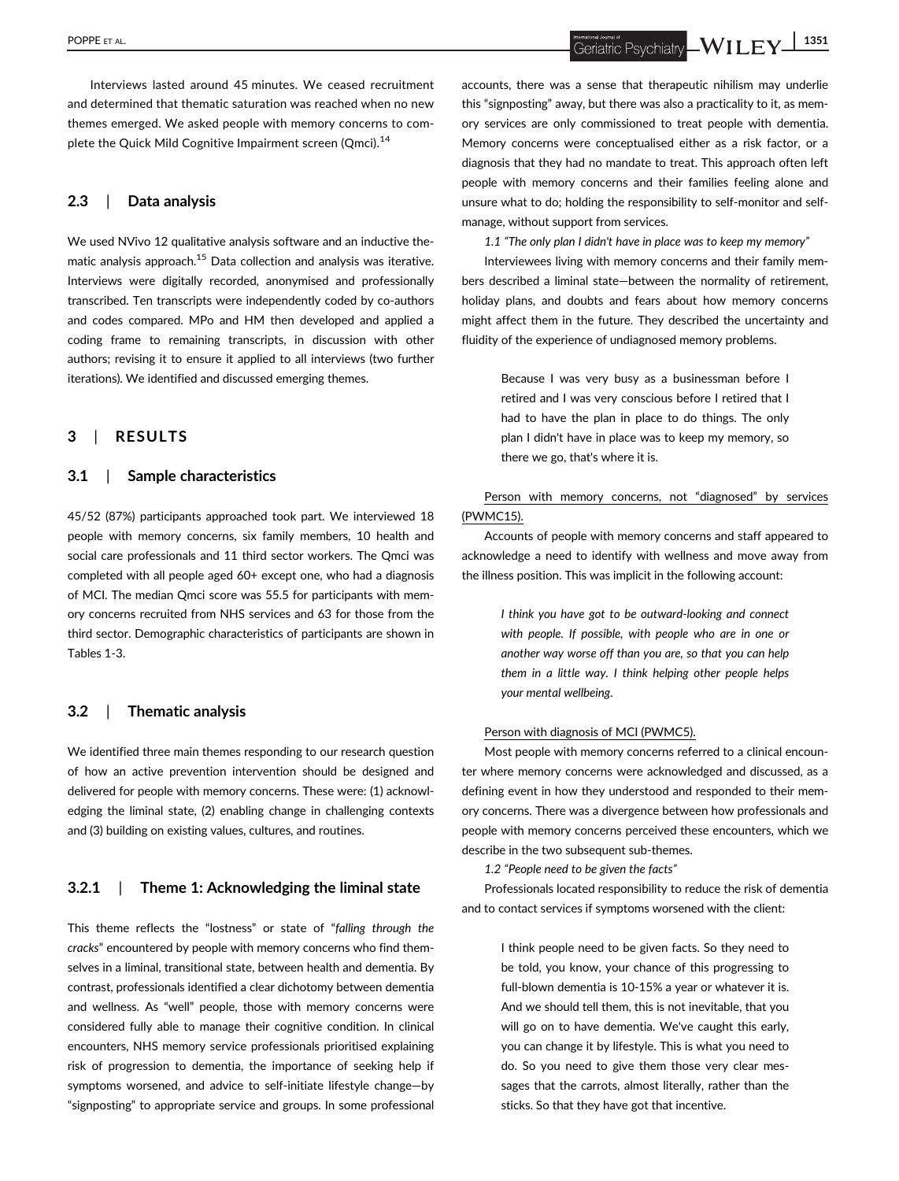POPPE ET AL. **EV 1351** 

Interviews lasted around 45 minutes. We ceased recruitment and determined that thematic saturation was reached when no new themes emerged. We asked people with memory concerns to complete the Quick Mild Cognitive Impairment screen (Qmci).<sup>14</sup>

# 2.3 | Data analysis

We used NVivo 12 qualitative analysis software and an inductive thematic analysis approach.<sup>15</sup> Data collection and analysis was iterative. Interviews were digitally recorded, anonymised and professionally transcribed. Ten transcripts were independently coded by co-authors and codes compared. MPo and HM then developed and applied a coding frame to remaining transcripts, in discussion with other authors; revising it to ensure it applied to all interviews (two further iterations). We identified and discussed emerging themes.

# 3 | RESULTS

# 3.1 | Sample characteristics

45/52 (87%) participants approached took part. We interviewed 18 people with memory concerns, six family members, 10 health and social care professionals and 11 third sector workers. The Qmci was completed with all people aged 60+ except one, who had a diagnosis of MCI. The median Qmci score was 55.5 for participants with memory concerns recruited from NHS services and 63 for those from the third sector. Demographic characteristics of participants are shown in Tables 1-3.

# 3.2 | Thematic analysis

We identified three main themes responding to our research question of how an active prevention intervention should be designed and delivered for people with memory concerns. These were: (1) acknowledging the liminal state, (2) enabling change in challenging contexts and (3) building on existing values, cultures, and routines.

# 3.2.1 | Theme 1: Acknowledging the liminal state

This theme reflects the "lostness" or state of "falling through the cracks" encountered by people with memory concerns who find themselves in a liminal, transitional state, between health and dementia. By contrast, professionals identified a clear dichotomy between dementia and wellness. As "well" people, those with memory concerns were considered fully able to manage their cognitive condition. In clinical encounters, NHS memory service professionals prioritised explaining risk of progression to dementia, the importance of seeking help if symptoms worsened, and advice to self-initiate lifestyle change—by "signposting" to appropriate service and groups. In some professional accounts, there was a sense that therapeutic nihilism may underlie this "signposting" away, but there was also a practicality to it, as memory services are only commissioned to treat people with dementia. Memory concerns were conceptualised either as a risk factor, or a diagnosis that they had no mandate to treat. This approach often left people with memory concerns and their families feeling alone and unsure what to do; holding the responsibility to self-monitor and selfmanage, without support from services.

1.1 "The only plan I didn't have in place was to keep my memory"

Interviewees living with memory concerns and their family members described a liminal state—between the normality of retirement, holiday plans, and doubts and fears about how memory concerns might affect them in the future. They described the uncertainty and fluidity of the experience of undiagnosed memory problems.

> Because I was very busy as a businessman before I retired and I was very conscious before I retired that I had to have the plan in place to do things. The only plan I didn't have in place was to keep my memory, so there we go, that's where it is.

# Person with memory concerns, not "diagnosed" by services (PWMC15).

Accounts of people with memory concerns and staff appeared to acknowledge a need to identify with wellness and move away from the illness position. This was implicit in the following account:

> I think you have got to be outward-looking and connect with people. If possible, with people who are in one or another way worse off than you are, so that you can help them in a little way. I think helping other people helps your mental wellbeing.

## Person with diagnosis of MCI (PWMC5).

Most people with memory concerns referred to a clinical encounter where memory concerns were acknowledged and discussed, as a defining event in how they understood and responded to their memory concerns. There was a divergence between how professionals and people with memory concerns perceived these encounters, which we describe in the two subsequent sub-themes.

1.2 "People need to be given the facts"

Professionals located responsibility to reduce the risk of dementia and to contact services if symptoms worsened with the client:

> I think people need to be given facts. So they need to be told, you know, your chance of this progressing to full-blown dementia is 10-15% a year or whatever it is. And we should tell them, this is not inevitable, that you will go on to have dementia. We've caught this early, you can change it by lifestyle. This is what you need to do. So you need to give them those very clear messages that the carrots, almost literally, rather than the sticks. So that they have got that incentive.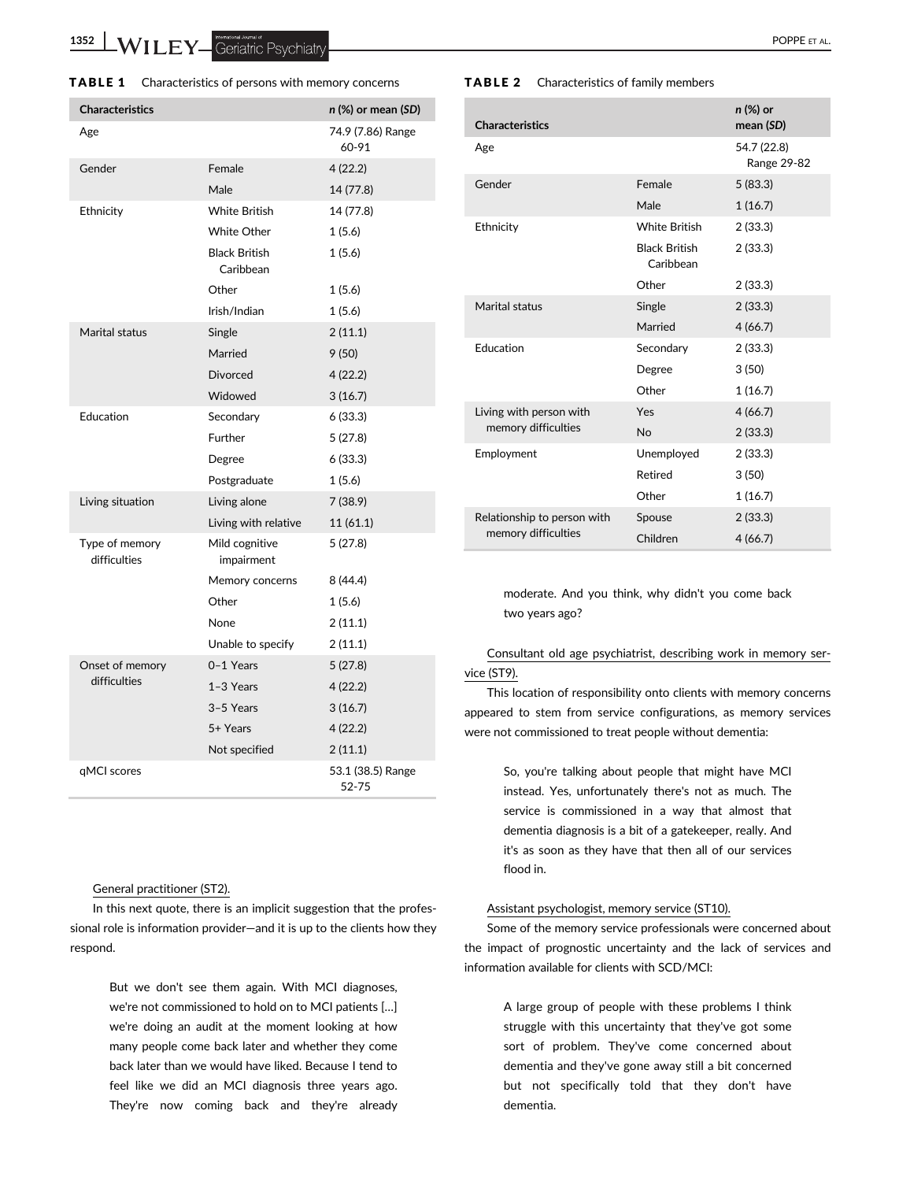1352 WILEY Geriatric Psychiatry

| TABLE 1 | Characteristics of persons with memory concerns |
|---------|-------------------------------------------------|
|---------|-------------------------------------------------|

| <b>Characteristics</b>         |                                   | n (%) or mean (SD)         |
|--------------------------------|-----------------------------------|----------------------------|
| Age                            |                                   | 74.9 (7.86) Range<br>60-91 |
| Gender                         | Female                            | 4 (22.2)                   |
|                                | Male                              | 14 (77.8)                  |
| Ethnicity                      | <b>White British</b>              | 14 (77.8)                  |
|                                | <b>White Other</b>                | 1(5.6)                     |
|                                | <b>Black British</b><br>Caribbean | 1(5.6)                     |
|                                | Other                             | 1(5.6)                     |
|                                | Irish/Indian                      | 1(5.6)                     |
| Marital status                 | Single                            | 2(11.1)                    |
|                                | Married                           | 9(50)                      |
|                                | <b>Divorced</b>                   | 4(22.2)                    |
|                                | Widowed                           | 3(16.7)                    |
| Education                      | Secondary                         | 6 (33.3)                   |
|                                | Further                           | 5(27.8)                    |
|                                | Degree                            | 6 (33.3)                   |
|                                | Postgraduate                      | 1(5.6)                     |
| Living situation               | Living alone                      | 7 (38.9)                   |
|                                | Living with relative              | 11(61.1)                   |
| Type of memory<br>difficulties | Mild cognitive<br>impairment      | 5(27.8)                    |
|                                | Memory concerns                   | 8 (44.4)                   |
|                                | Other                             | 1(5.6)                     |
|                                | None                              | 2(11.1)                    |
|                                | Unable to specify                 | 2(11.1)                    |
| Onset of memory                | 0-1 Years                         | 5(27.8)                    |
| difficulties                   | 1-3 Years                         | 4(22.2)                    |
|                                | 3-5 Years                         | 3(16.7)                    |
|                                | 5+ Years                          | 4(22.2)                    |
|                                | Not specified                     | 2(11.1)                    |
| qMCI scores                    |                                   | 53.1 (38.5) Range<br>52-75 |

#### General practitioner (ST2).

In this next quote, there is an implicit suggestion that the professional role is information provider—and it is up to the clients how they respond.

> But we don't see them again. With MCI diagnoses, we're not commissioned to hold on to MCI patients […] we're doing an audit at the moment looking at how many people come back later and whether they come back later than we would have liked. Because I tend to feel like we did an MCI diagnosis three years ago. They're now coming back and they're already

#### TABLE 2 Characteristics of family members

| <b>Characteristics</b>                             |                                   | n (%) or<br>mean (SD)      |
|----------------------------------------------------|-----------------------------------|----------------------------|
| Age                                                |                                   | 54.7 (22.8)<br>Range 29-82 |
| Gender                                             | Female                            | 5(83.3)                    |
|                                                    | Male                              | 1(16.7)                    |
| Ethnicity                                          | <b>White British</b>              | 2(33.3)                    |
|                                                    | <b>Black British</b><br>Caribbean | 2(33.3)                    |
|                                                    | Other                             | 2(33.3)                    |
| Marital status                                     | Single                            | 2(33.3)                    |
|                                                    | Married                           | 4(66.7)                    |
| Education                                          | Secondary                         | 2(33.3)                    |
|                                                    | Degree                            | 3(50)                      |
|                                                    | Other                             | 1(16.7)                    |
| Living with person with<br>memory difficulties     | Yes                               | 4(66.7)                    |
|                                                    | <b>No</b>                         | 2(33.3)                    |
| Employment                                         | Unemployed                        | 2(33.3)                    |
|                                                    | Retired                           | 3(50)                      |
|                                                    | Other                             | 1(16.7)                    |
| Relationship to person with<br>memory difficulties | Spouse                            | 2(33.3)                    |
|                                                    | Children                          | 4(66.7)                    |

moderate. And you think, why didn't you come back two years ago?

# Consultant old age psychiatrist, describing work in memory service (ST9).

This location of responsibility onto clients with memory concerns appeared to stem from service configurations, as memory services

were not commissioned to treat people without dementia:

So, you're talking about people that might have MCI instead. Yes, unfortunately there's not as much. The service is commissioned in a way that almost that dementia diagnosis is a bit of a gatekeeper, really. And it's as soon as they have that then all of our services flood in.

## Assistant psychologist, memory service (ST10).

Some of the memory service professionals were concerned about the impact of prognostic uncertainty and the lack of services and information available for clients with SCD/MCI:

> A large group of people with these problems I think struggle with this uncertainty that they've got some sort of problem. They've come concerned about dementia and they've gone away still a bit concerned but not specifically told that they don't have dementia.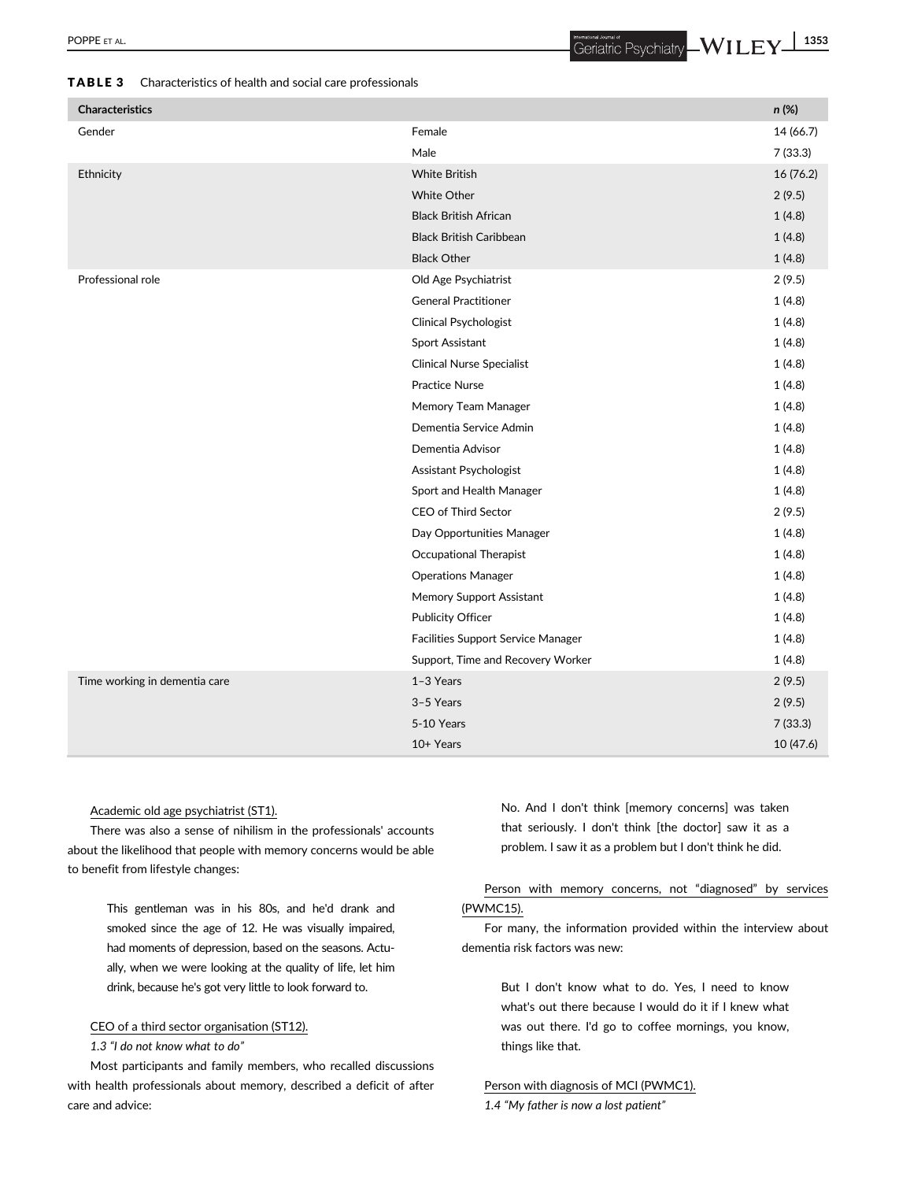## TABLE 3 Characteristics of health and social care professionals

| <b>Characteristics</b>        |                                    |           |
|-------------------------------|------------------------------------|-----------|
|                               |                                    | n (%)     |
| Gender                        | Female                             | 14 (66.7) |
|                               | Male                               | 7(33.3)   |
| Ethnicity                     | <b>White British</b>               | 16 (76.2) |
|                               | <b>White Other</b>                 | 2(9.5)    |
|                               | <b>Black British African</b>       | 1(4.8)    |
|                               | <b>Black British Caribbean</b>     | 1(4.8)    |
|                               | <b>Black Other</b>                 | 1(4.8)    |
| Professional role             | Old Age Psychiatrist               | 2(9.5)    |
|                               | <b>General Practitioner</b>        | 1(4.8)    |
|                               | <b>Clinical Psychologist</b>       | 1(4.8)    |
|                               | Sport Assistant                    | 1(4.8)    |
|                               | <b>Clinical Nurse Specialist</b>   | 1(4.8)    |
|                               | <b>Practice Nurse</b>              | 1(4.8)    |
|                               | Memory Team Manager                | 1(4.8)    |
|                               | Dementia Service Admin             | 1(4.8)    |
|                               | Dementia Advisor                   | 1(4.8)    |
|                               | Assistant Psychologist             | 1(4.8)    |
|                               | Sport and Health Manager           | 1(4.8)    |
|                               | CEO of Third Sector                | 2(9.5)    |
|                               | Day Opportunities Manager          | 1(4.8)    |
|                               | Occupational Therapist             | 1(4.8)    |
|                               | <b>Operations Manager</b>          | 1(4.8)    |
|                               | Memory Support Assistant           | 1(4.8)    |
|                               | Publicity Officer                  | 1(4.8)    |
|                               | Facilities Support Service Manager | 1(4.8)    |
|                               | Support, Time and Recovery Worker  | 1(4.8)    |
| Time working in dementia care | 1-3 Years                          | 2(9.5)    |
|                               | 3-5 Years                          | 2(9.5)    |
|                               | 5-10 Years                         | 7(33.3)   |

## Academic old age psychiatrist (ST1).

There was also a sense of nihilism in the professionals' accounts about the likelihood that people with memory concerns would be able to benefit from lifestyle changes:

> This gentleman was in his 80s, and he'd drank and smoked since the age of 12. He was visually impaired, had moments of depression, based on the seasons. Actually, when we were looking at the quality of life, let him drink, because he's got very little to look forward to.

#### CEO of a third sector organisation (ST12).

## 1.3 "I do not know what to do"

Most participants and family members, who recalled discussions with health professionals about memory, described a deficit of after care and advice:

No. And I don't think [memory concerns] was taken that seriously. I don't think [the doctor] saw it as a problem. I saw it as a problem but I don't think he did.

10+ Years 10 (47.6)

# Person with memory concerns, not "diagnosed" by services (PWMC15).

For many, the information provided within the interview about dementia risk factors was new:

> But I don't know what to do. Yes, I need to know what's out there because I would do it if I knew what was out there. I'd go to coffee mornings, you know, things like that.

## Person with diagnosis of MCI (PWMC1).

1.4 "My father is now a lost patient"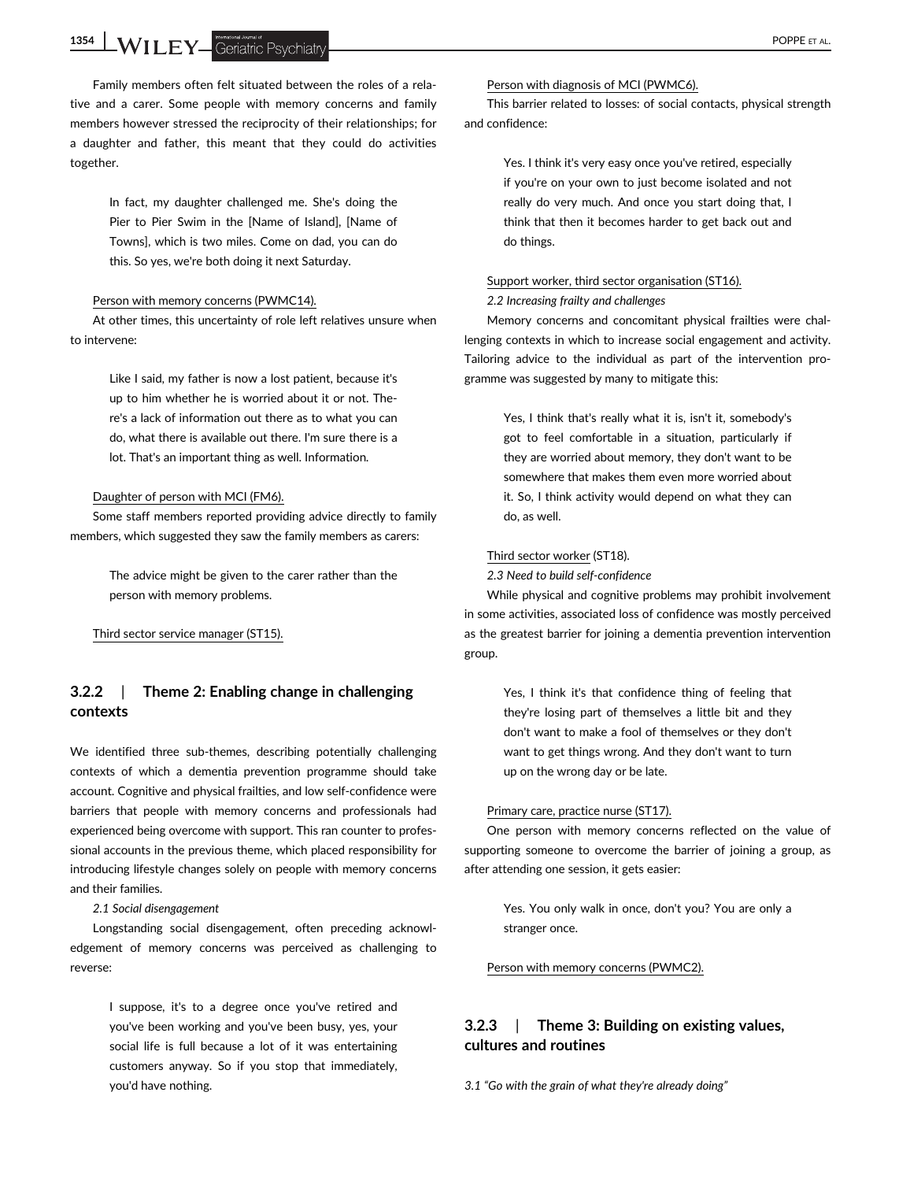1354 WILEY Geriatric Psychiatry **Example 2018** 

Family members often felt situated between the roles of a relative and a carer. Some people with memory concerns and family members however stressed the reciprocity of their relationships; for a daughter and father, this meant that they could do activities together.

> In fact, my daughter challenged me. She's doing the Pier to Pier Swim in the [Name of Island], [Name of Towns], which is two miles. Come on dad, you can do this. So yes, we're both doing it next Saturday.

#### Person with memory concerns (PWMC14).

At other times, this uncertainty of role left relatives unsure when to intervene:

> Like I said, my father is now a lost patient, because it's up to him whether he is worried about it or not. There's a lack of information out there as to what you can do, what there is available out there. I'm sure there is a lot. That's an important thing as well. Information.

#### Daughter of person with MCI (FM6).

Some staff members reported providing advice directly to family members, which suggested they saw the family members as carers:

> The advice might be given to the carer rather than the person with memory problems.

Third sector service manager (ST15).

# 3.2.2 | Theme 2: Enabling change in challenging contexts

We identified three sub-themes, describing potentially challenging contexts of which a dementia prevention programme should take account. Cognitive and physical frailties, and low self-confidence were barriers that people with memory concerns and professionals had experienced being overcome with support. This ran counter to professional accounts in the previous theme, which placed responsibility for introducing lifestyle changes solely on people with memory concerns and their families.

2.1 Social disengagement

Longstanding social disengagement, often preceding acknowledgement of memory concerns was perceived as challenging to reverse:

> I suppose, it's to a degree once you've retired and you've been working and you've been busy, yes, your social life is full because a lot of it was entertaining customers anyway. So if you stop that immediately, you'd have nothing.

This barrier related to losses: of social contacts, physical strength and confidence:

> Yes. I think it's very easy once you've retired, especially if you're on your own to just become isolated and not really do very much. And once you start doing that, I think that then it becomes harder to get back out and do things.

## Support worker, third sector organisation (ST16).

#### 2.2 Increasing frailty and challenges

Memory concerns and concomitant physical frailties were challenging contexts in which to increase social engagement and activity. Tailoring advice to the individual as part of the intervention programme was suggested by many to mitigate this:

> Yes, I think that's really what it is, isn't it, somebody's got to feel comfortable in a situation, particularly if they are worried about memory, they don't want to be somewhere that makes them even more worried about it. So, I think activity would depend on what they can do, as well.

#### Third sector worker (ST18).

2.3 Need to build self-confidence

While physical and cognitive problems may prohibit involvement in some activities, associated loss of confidence was mostly perceived as the greatest barrier for joining a dementia prevention intervention group.

> Yes, I think it's that confidence thing of feeling that they're losing part of themselves a little bit and they don't want to make a fool of themselves or they don't want to get things wrong. And they don't want to turn up on the wrong day or be late.

#### Primary care, practice nurse (ST17).

One person with memory concerns reflected on the value of supporting someone to overcome the barrier of joining a group, as after attending one session, it gets easier:

> Yes. You only walk in once, don't you? You are only a stranger once.

Person with memory concerns (PWMC2).

# 3.2.3 | Theme 3: Building on existing values, cultures and routines

3.1 "Go with the grain of what they're already doing"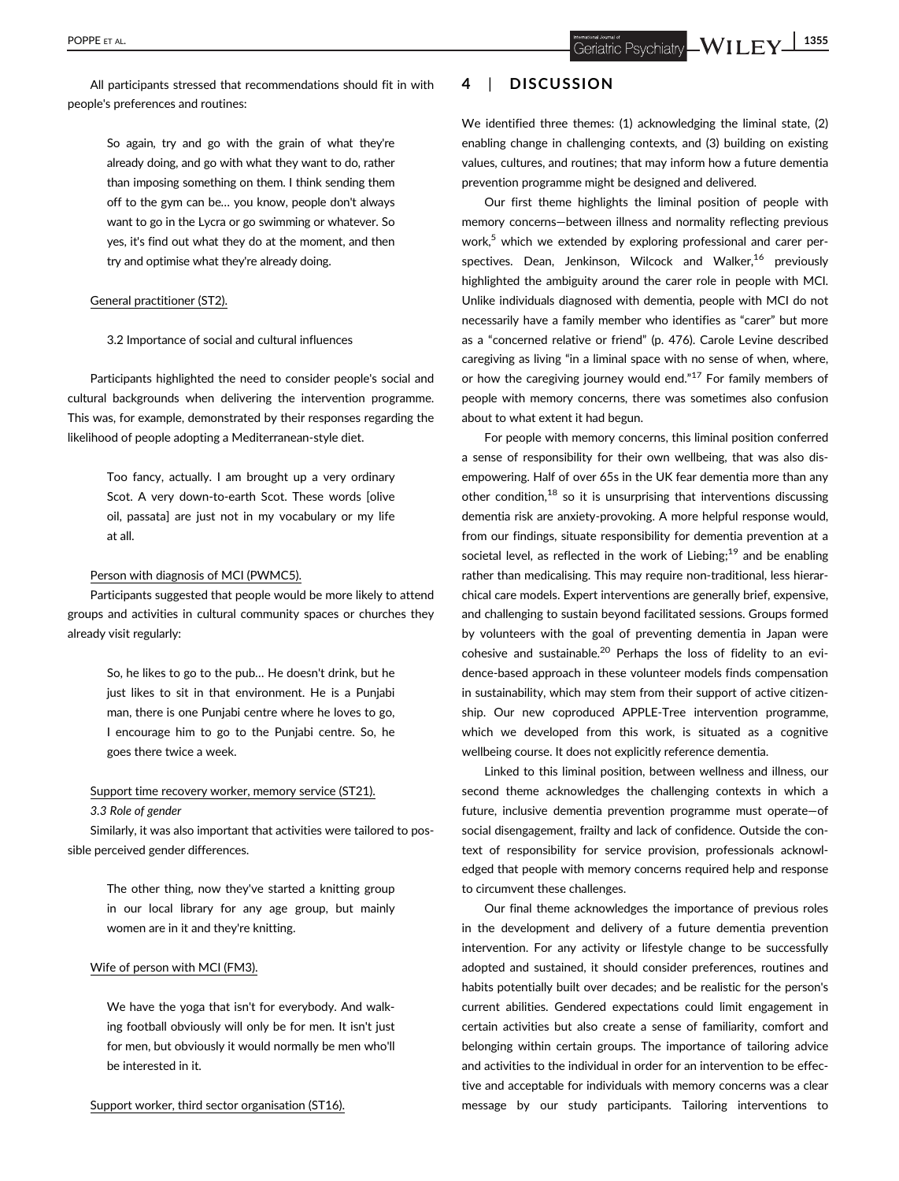All participants stressed that recommendations should fit in with people's preferences and routines:

> So again, try and go with the grain of what they're already doing, and go with what they want to do, rather than imposing something on them. I think sending them off to the gym can be… you know, people don't always want to go in the Lycra or go swimming or whatever. So yes, it's find out what they do at the moment, and then try and optimise what they're already doing.

#### General practitioner (ST2).

3.2 Importance of social and cultural influences

Participants highlighted the need to consider people's social and cultural backgrounds when delivering the intervention programme. This was, for example, demonstrated by their responses regarding the likelihood of people adopting a Mediterranean-style diet.

> Too fancy, actually. I am brought up a very ordinary Scot. A very down-to-earth Scot. These words [olive oil, passata] are just not in my vocabulary or my life at all.

#### Person with diagnosis of MCI (PWMC5).

Participants suggested that people would be more likely to attend groups and activities in cultural community spaces or churches they already visit regularly:

> So, he likes to go to the pub… He doesn't drink, but he just likes to sit in that environment. He is a Punjabi man, there is one Punjabi centre where he loves to go, I encourage him to go to the Punjabi centre. So, he goes there twice a week.

# Support time recovery worker, memory service (ST21).

#### 3.3 Role of gender

Similarly, it was also important that activities were tailored to possible perceived gender differences.

> The other thing, now they've started a knitting group in our local library for any age group, but mainly women are in it and they're knitting.

#### Wife of person with MCI (FM3).

We have the yoga that isn't for everybody. And walking football obviously will only be for men. It isn't just for men, but obviously it would normally be men who'll be interested in it.

#### Support worker, third sector organisation (ST16).

# 4 | DISCUSSION

We identified three themes: (1) acknowledging the liminal state, (2) enabling change in challenging contexts, and (3) building on existing values, cultures, and routines; that may inform how a future dementia prevention programme might be designed and delivered.

Our first theme highlights the liminal position of people with memory concerns—between illness and normality reflecting previous work,<sup>5</sup> which we extended by exploring professional and carer perspectives. Dean, Jenkinson, Wilcock and Walker,<sup>16</sup> previously highlighted the ambiguity around the carer role in people with MCI. Unlike individuals diagnosed with dementia, people with MCI do not necessarily have a family member who identifies as "carer" but more as a "concerned relative or friend" (p. 476). Carole Levine described caregiving as living "in a liminal space with no sense of when, where, or how the caregiving journey would end."<sup>17</sup> For family members of people with memory concerns, there was sometimes also confusion about to what extent it had begun.

For people with memory concerns, this liminal position conferred a sense of responsibility for their own wellbeing, that was also disempowering. Half of over 65s in the UK fear dementia more than any other condition,  $18$  so it is unsurprising that interventions discussing dementia risk are anxiety-provoking. A more helpful response would, from our findings, situate responsibility for dementia prevention at a societal level, as reflected in the work of Liebing;<sup>19</sup> and be enabling rather than medicalising. This may require non-traditional, less hierarchical care models. Expert interventions are generally brief, expensive, and challenging to sustain beyond facilitated sessions. Groups formed by volunteers with the goal of preventing dementia in Japan were cohesive and sustainable.<sup>20</sup> Perhaps the loss of fidelity to an evidence-based approach in these volunteer models finds compensation in sustainability, which may stem from their support of active citizenship. Our new coproduced APPLE-Tree intervention programme, which we developed from this work, is situated as a cognitive wellbeing course. It does not explicitly reference dementia.

Linked to this liminal position, between wellness and illness, our second theme acknowledges the challenging contexts in which a future, inclusive dementia prevention programme must operate—of social disengagement, frailty and lack of confidence. Outside the context of responsibility for service provision, professionals acknowledged that people with memory concerns required help and response to circumvent these challenges.

Our final theme acknowledges the importance of previous roles in the development and delivery of a future dementia prevention intervention. For any activity or lifestyle change to be successfully adopted and sustained, it should consider preferences, routines and habits potentially built over decades; and be realistic for the person's current abilities. Gendered expectations could limit engagement in certain activities but also create a sense of familiarity, comfort and belonging within certain groups. The importance of tailoring advice and activities to the individual in order for an intervention to be effective and acceptable for individuals with memory concerns was a clear message by our study participants. Tailoring interventions to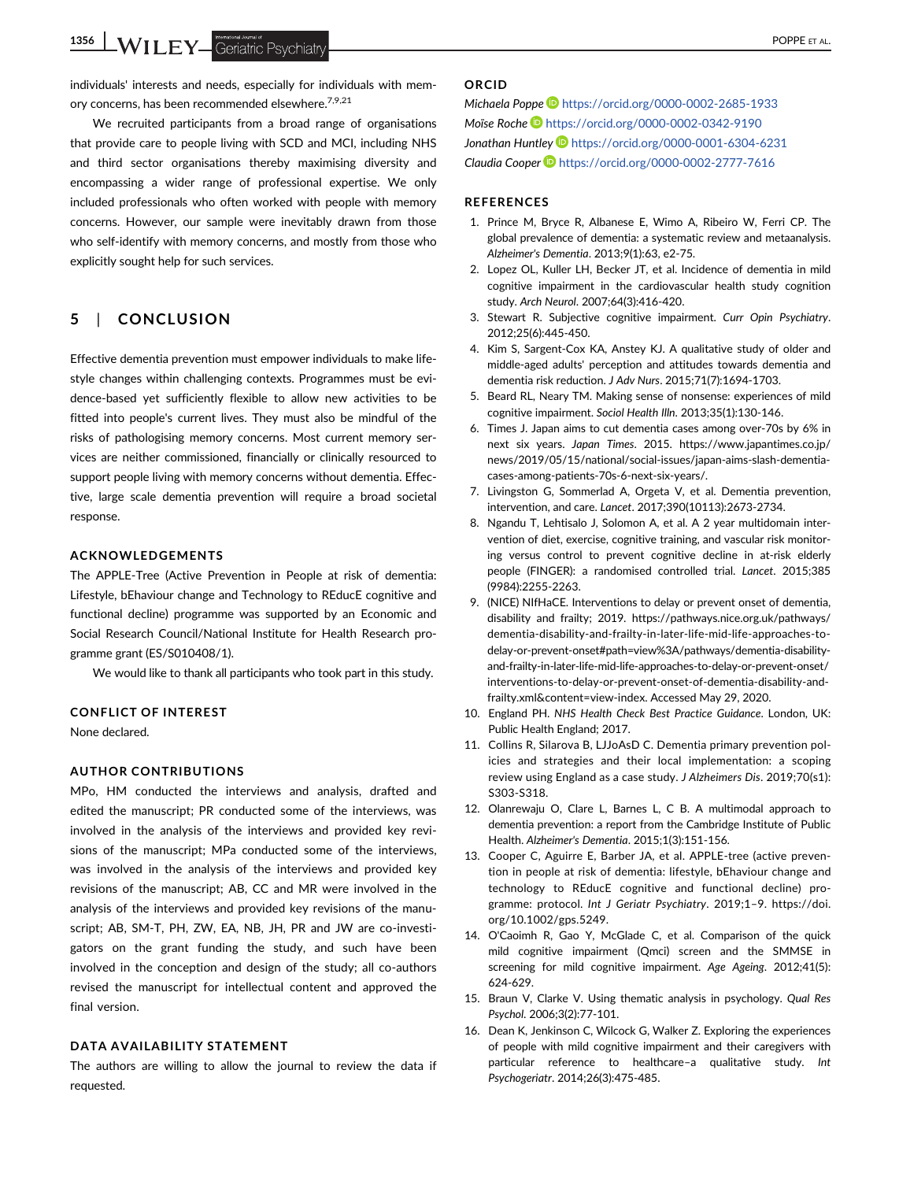1356 WILEY Geriatric Psychiatry **Contract of the System of the Contract of the Contract of the Contract of the Contract of the Contract of the Contract of the Contract of the Contract of the Contract of the Contract of the** 

individuals' interests and needs, especially for individuals with memory concerns, has been recommended elsewhere.<sup>7,9,21</sup>

We recruited participants from a broad range of organisations that provide care to people living with SCD and MCI, including NHS and third sector organisations thereby maximising diversity and encompassing a wider range of professional expertise. We only included professionals who often worked with people with memory concerns. However, our sample were inevitably drawn from those who self-identify with memory concerns, and mostly from those who explicitly sought help for such services.

# 5 | CONCLUSION

Effective dementia prevention must empower individuals to make lifestyle changes within challenging contexts. Programmes must be evidence-based yet sufficiently flexible to allow new activities to be fitted into people's current lives. They must also be mindful of the risks of pathologising memory concerns. Most current memory services are neither commissioned, financially or clinically resourced to support people living with memory concerns without dementia. Effective, large scale dementia prevention will require a broad societal response.

## ACKNOWLEDGEMENTS

The APPLE-Tree (Active Prevention in People at risk of dementia: Lifestyle, bEhaviour change and Technology to REducE cognitive and functional decline) programme was supported by an Economic and Social Research Council/National Institute for Health Research programme grant (ES/S010408/1).

We would like to thank all participants who took part in this study.

#### CONFLICT OF INTEREST

None declared.

## AUTHOR CONTRIBUTIONS

MPo, HM conducted the interviews and analysis, drafted and edited the manuscript; PR conducted some of the interviews, was involved in the analysis of the interviews and provided key revisions of the manuscript; MPa conducted some of the interviews, was involved in the analysis of the interviews and provided key revisions of the manuscript; AB, CC and MR were involved in the analysis of the interviews and provided key revisions of the manuscript; AB, SM-T, PH, ZW, EA, NB, JH, PR and JW are co-investigators on the grant funding the study, and such have been involved in the conception and design of the study; all co-authors revised the manuscript for intellectual content and approved the final version.

#### DATA AVAILABILITY STATEMENT

The authors are willing to allow the journal to review the data if requested.

## ORCID

Michaela Poppe D <https://orcid.org/0000-0002-2685-1933> Moïse Roche <https://orcid.org/0000-0002-0342-9190> Jonathan Huntley **b** <https://orcid.org/0000-0001-6304-6231> Claudia Cooper D <https://orcid.org/0000-0002-2777-7616>

## **REFERENCES**

- 1. Prince M, Bryce R, Albanese E, Wimo A, Ribeiro W, Ferri CP. The global prevalence of dementia: a systematic review and metaanalysis. Alzheimer's Dementia. 2013;9(1):63, e2-75.
- 2. Lopez OL, Kuller LH, Becker JT, et al. Incidence of dementia in mild cognitive impairment in the cardiovascular health study cognition study. Arch Neurol. 2007;64(3):416-420.
- 3. Stewart R. Subjective cognitive impairment. Curr Opin Psychiatry. 2012;25(6):445-450.
- 4. Kim S, Sargent-Cox KA, Anstey KJ. A qualitative study of older and middle-aged adults' perception and attitudes towards dementia and dementia risk reduction. J Adv Nurs. 2015;71(7):1694-1703.
- 5. Beard RL, Neary TM. Making sense of nonsense: experiences of mild cognitive impairment. Sociol Health Illn. 2013;35(1):130-146.
- 6. Times J. Japan aims to cut dementia cases among over-70s by 6% in next six years. Japan Times. 2015. [https://www.japantimes.co.jp/](https://www.japantimes.co.jp/news/2019/05/15/national/social-issues/japan-aims-slash-dementia-cases-among-patients-70s-6-next-six-years/) [news/2019/05/15/national/social-issues/japan-aims-slash-dementia](https://www.japantimes.co.jp/news/2019/05/15/national/social-issues/japan-aims-slash-dementia-cases-among-patients-70s-6-next-six-years/)[cases-among-patients-70s-6-next-six-years/](https://www.japantimes.co.jp/news/2019/05/15/national/social-issues/japan-aims-slash-dementia-cases-among-patients-70s-6-next-six-years/).
- 7. Livingston G, Sommerlad A, Orgeta V, et al. Dementia prevention, intervention, and care. Lancet. 2017;390(10113):2673-2734.
- 8. Ngandu T, Lehtisalo J, Solomon A, et al. A 2 year multidomain intervention of diet, exercise, cognitive training, and vascular risk monitoring versus control to prevent cognitive decline in at-risk elderly people (FINGER): a randomised controlled trial. Lancet. 2015;385 (9984):2255-2263.
- 9. (NICE) NIfHaCE. Interventions to delay or prevent onset of dementia, disability and frailty; 2019. [https://pathways.nice.org.uk/pathways/](https://pathways.nice.org.uk/pathways/dementia-disability-and-frailty-in-later-life-mid-life-approaches-to-delay-or-prevent-onset#path=view%3A/pathways/dementia-disability-and-frailty-in-later-life-mid-life-approaches-to-delay-or-prevent-onset/interventions-to-delay-or-prevent-onset-of-dementia-disability-and-frailty.xml%26content=view-index) [dementia-disability-and-frailty-in-later-life-mid-life-approaches-to](https://pathways.nice.org.uk/pathways/dementia-disability-and-frailty-in-later-life-mid-life-approaches-to-delay-or-prevent-onset#path=view%3A/pathways/dementia-disability-and-frailty-in-later-life-mid-life-approaches-to-delay-or-prevent-onset/interventions-to-delay-or-prevent-onset-of-dementia-disability-and-frailty.xml%26content=view-index)[delay-or-prevent-onset#path=view%3A/pathways/dementia-disability](https://pathways.nice.org.uk/pathways/dementia-disability-and-frailty-in-later-life-mid-life-approaches-to-delay-or-prevent-onset#path=view%3A/pathways/dementia-disability-and-frailty-in-later-life-mid-life-approaches-to-delay-or-prevent-onset/interventions-to-delay-or-prevent-onset-of-dementia-disability-and-frailty.xml%26content=view-index)[and-frailty-in-later-life-mid-life-approaches-to-delay-or-prevent-onset/](https://pathways.nice.org.uk/pathways/dementia-disability-and-frailty-in-later-life-mid-life-approaches-to-delay-or-prevent-onset#path=view%3A/pathways/dementia-disability-and-frailty-in-later-life-mid-life-approaches-to-delay-or-prevent-onset/interventions-to-delay-or-prevent-onset-of-dementia-disability-and-frailty.xml%26content=view-index) [interventions-to-delay-or-prevent-onset-of-dementia-disability-and](https://pathways.nice.org.uk/pathways/dementia-disability-and-frailty-in-later-life-mid-life-approaches-to-delay-or-prevent-onset#path=view%3A/pathways/dementia-disability-and-frailty-in-later-life-mid-life-approaches-to-delay-or-prevent-onset/interventions-to-delay-or-prevent-onset-of-dementia-disability-and-frailty.xml%26content=view-index)[frailty.xml&content=view-index](https://pathways.nice.org.uk/pathways/dementia-disability-and-frailty-in-later-life-mid-life-approaches-to-delay-or-prevent-onset#path=view%3A/pathways/dementia-disability-and-frailty-in-later-life-mid-life-approaches-to-delay-or-prevent-onset/interventions-to-delay-or-prevent-onset-of-dementia-disability-and-frailty.xml%26content=view-index). Accessed May 29, 2020.
- 10. England PH. NHS Health Check Best Practice Guidance. London, UK: Public Health England; 2017.
- 11. Collins R, Silarova B, LJJoAsD C. Dementia primary prevention policies and strategies and their local implementation: a scoping review using England as a case study. J Alzheimers Dis. 2019;70(s1): S303-S318.
- 12. Olanrewaju O, Clare L, Barnes L, C B. A multimodal approach to dementia prevention: a report from the Cambridge Institute of Public Health. Alzheimer's Dementia. 2015;1(3):151-156.
- 13. Cooper C, Aguirre E, Barber JA, et al. APPLE-tree (active prevention in people at risk of dementia: lifestyle, bEhaviour change and technology to REducE cognitive and functional decline) programme: protocol. Int J Geriatr Psychiatry. 2019;1–9. [https://doi.](https://doi.org/10.1002/gps.5249) [org/10.1002/gps.5249.](https://doi.org/10.1002/gps.5249)
- 14. O'Caoimh R, Gao Y, McGlade C, et al. Comparison of the quick mild cognitive impairment (Qmci) screen and the SMMSE in screening for mild cognitive impairment. Age Ageing. 2012;41(5): 624-629.
- 15. Braun V, Clarke V. Using thematic analysis in psychology. Qual Res Psychol. 2006;3(2):77-101.
- 16. Dean K, Jenkinson C, Wilcock G, Walker Z. Exploring the experiences of people with mild cognitive impairment and their caregivers with particular reference to healthcare–a qualitative study. Int Psychogeriatr. 2014;26(3):475-485.